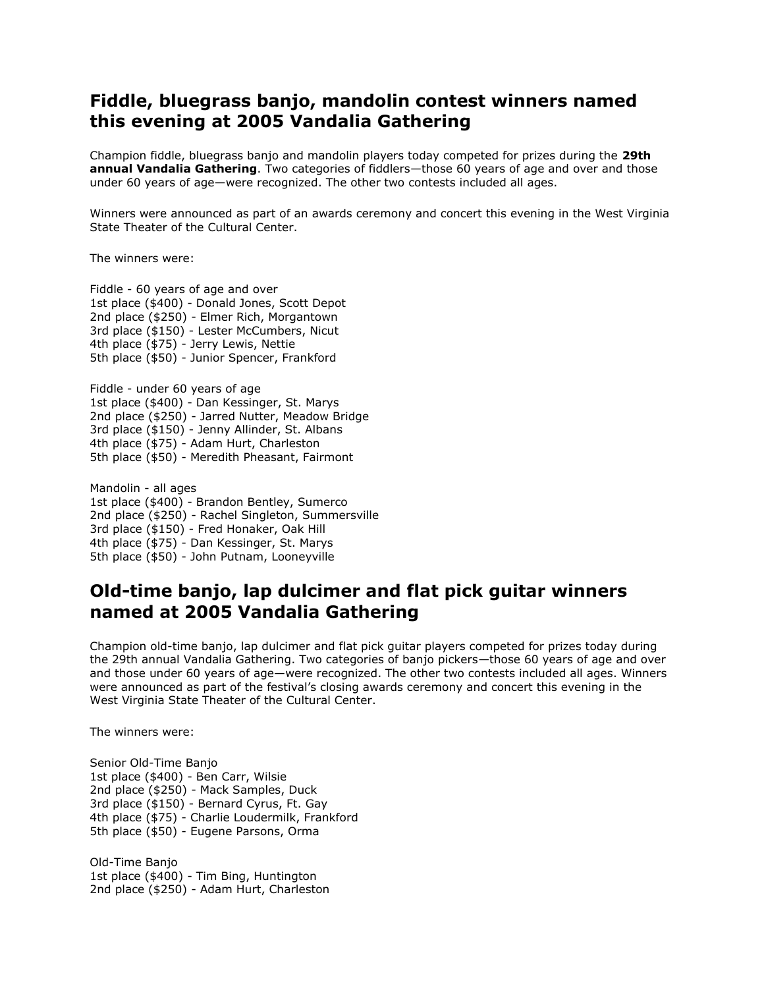## **Fiddle, bluegrass banjo, mandolin contest winners named this evening at 2005 Vandalia Gathering**

Champion fiddle, bluegrass banjo and mandolin players today competed for prizes during the **29th annual Vandalia Gathering**. Two categories of fiddlers—those 60 years of age and over and those under 60 years of age—were recognized. The other two contests included all ages.

Winners were announced as part of an awards ceremony and concert this evening in the West Virginia State Theater of the Cultural Center.

The winners were:

Fiddle - 60 years of age and over 1st place (\$400) - Donald Jones, Scott Depot 2nd place (\$250) - Elmer Rich, Morgantown 3rd place (\$150) - Lester McCumbers, Nicut 4th place (\$75) - Jerry Lewis, Nettie 5th place (\$50) - Junior Spencer, Frankford

Fiddle - under 60 years of age 1st place (\$400) - Dan Kessinger, St. Marys 2nd place (\$250) - Jarred Nutter, Meadow Bridge 3rd place (\$150) - Jenny Allinder, St. Albans 4th place (\$75) - Adam Hurt, Charleston 5th place (\$50) - Meredith Pheasant, Fairmont

Mandolin - all ages 1st place (\$400) - Brandon Bentley, Sumerco 2nd place (\$250) - Rachel Singleton, Summersville 3rd place (\$150) - Fred Honaker, Oak Hill 4th place (\$75) - Dan Kessinger, St. Marys 5th place (\$50) - John Putnam, Looneyville

## **Old-time banjo, lap dulcimer and flat pick guitar winners named at 2005 Vandalia Gathering**

Champion old-time banjo, lap dulcimer and flat pick guitar players competed for prizes today during the 29th annual Vandalia Gathering. Two categories of banjo pickers—those 60 years of age and over and those under 60 years of age—were recognized. The other two contests included all ages. Winners were announced as part of the festival's closing awards ceremony and concert this evening in the West Virginia State Theater of the Cultural Center.

The winners were:

Senior Old-Time Banjo 1st place (\$400) - Ben Carr, Wilsie 2nd place (\$250) - Mack Samples, Duck 3rd place (\$150) - Bernard Cyrus, Ft. Gay 4th place (\$75) - Charlie Loudermilk, Frankford 5th place (\$50) - Eugene Parsons, Orma

Old-Time Banjo 1st place (\$400) - Tim Bing, Huntington 2nd place (\$250) - Adam Hurt, Charleston